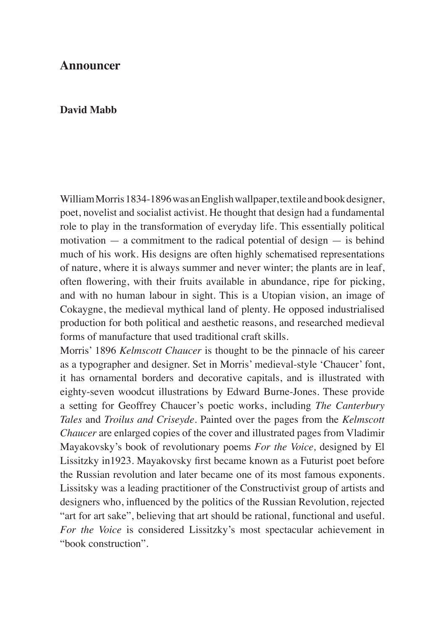## **Announcer**

## **David Mabb**

William Morris 1834-1896 was an English wallpaper, textile and book designer, poet, novelist and socialist activist. He thought that design had a fundamental role to play in the transformation of everyday life. This essentially political motivation  $-$  a commitment to the radical potential of design  $-$  is behind much of his work. His designs are often highly schematised representations of nature, where it is always summer and never winter; the plants are in leaf, often flowering, with their fruits available in abundance, ripe for picking, and with no human labour in sight. This is a Utopian vision, an image of Cokaygne, the medieval mythical land of plenty. He opposed industrialised production for both political and aesthetic reasons, and researched medieval forms of manufacture that used traditional craft skills.

Morris' 1896 *Kelmscott Chaucer* is thought to be the pinnacle of his career as a typographer and designer. Set in Morris' medieval-style 'Chaucer' font, it has ornamental borders and decorative capitals, and is illustrated with eighty-seven woodcut illustrations by Edward Burne-Jones. These provide a setting for Geoffrey Chaucer's poetic works, including *The Canterbury Tales* and *Troilus and Criseyde*. Painted over the pages from the *Kelmscott Chaucer* are enlarged copies of the cover and illustrated pages from Vladimir Mayakovsky's book of revolutionary poems *For the Voice,* designed by El Lissitzky in1923. Mayakovsky first became known as a Futurist poet before the Russian revolution and later became one of its most famous exponents. Lissitsky was a leading practitioner of the Constructivist group of artists and designers who, influenced by the politics of the Russian Revolution, rejected "art for art sake", believing that art should be rational, functional and useful. *For the Voice* is considered Lissitzky's most spectacular achievement in "book construction".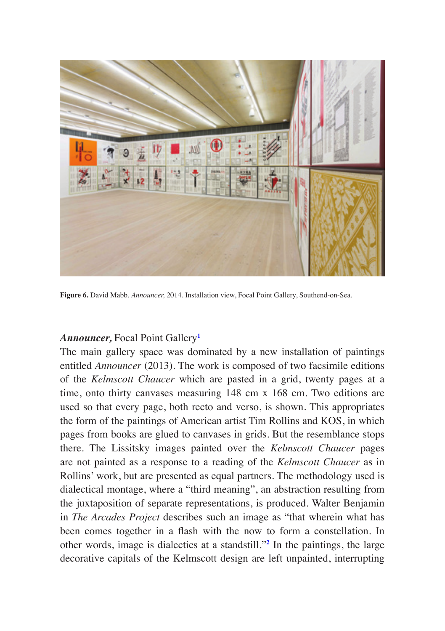

**Figure 6.** David Mabb. *Announcer,* 2014. Installation view, Focal Point Gallery, Southend-on-Sea.

## *Announcer,* Focal Point Gallery**<sup>1</sup>**

The main gallery space was dominated by a new installation of paintings entitled *Announcer* (2013). The work is composed of two facsimile editions of the *Kelmscott Chaucer* which are pasted in a grid, twenty pages at a time, onto thirty canvases measuring 148 cm x 168 cm. Two editions are used so that every page, both recto and verso, is shown. This appropriates the form of the paintings of American artist Tim Rollins and KOS, in which pages from books are glued to canvases in grids. But the resemblance stops there. The Lissitsky images painted over the *Kelmscott Chaucer* pages are not painted as a response to a reading of the *Kelmscott Chaucer* as in Rollins' work, but are presented as equal partners. The methodology used is dialectical montage, where a "third meaning", an abstraction resulting from the juxtaposition of separate representations, is produced. Walter Benjamin in *The Arcades Project* describes such an image as "that wherein what has been comes together in a flash with the now to form a constellation. In other words, image is dialectics at a standstill."**<sup>2</sup>** In the paintings, the large decorative capitals of the Kelmscott design are left unpainted, interrupting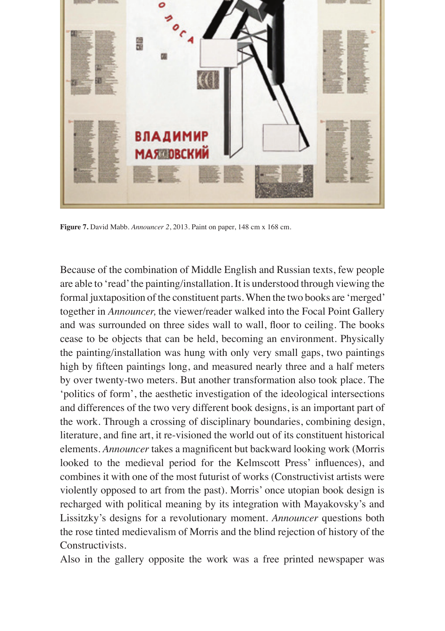

**Figure 7.** David Mabb. *Announcer 2*, 2013. Paint on paper, 148 cm x 168 cm.

Because of the combination of Middle English and Russian texts, few people are able to 'read'the painting/installation. It is understood through viewing the formal juxtaposition of the constituent parts. When the two books are 'merged' together in *Announcer,* the viewer/reader walked into the Focal Point Gallery and was surrounded on three sides wall to wall, floor to ceiling. The books cease to be objects that can be held, becoming an environment. Physically the painting/installation was hung with only very small gaps, two paintings high by fifteen paintings long, and measured nearly three and a half meters by over twenty-two meters. But another transformation also took place. The 'politics of form', the aesthetic investigation of the ideological intersections and differences of the two very different book designs, is an important part of the work. Through a crossing of disciplinary boundaries, combining design, literature, and fine art, it re-visioned the world out of its constituent historical elements. *Announcer* takes a magnificent but backward looking work (Morris looked to the medieval period for the Kelmscott Press' influences), and combines it with one of the most futurist of works (Constructivist artists were violently opposed to art from the past). Morris' once utopian book design is recharged with political meaning by its integration with Mayakovsky's and Lissitzky's designs for a revolutionary moment. *Announcer* questions both the rose tinted medievalism of Morris and the blind rejection of history of the Constructivists.

Also in the gallery opposite the work was a free printed newspaper was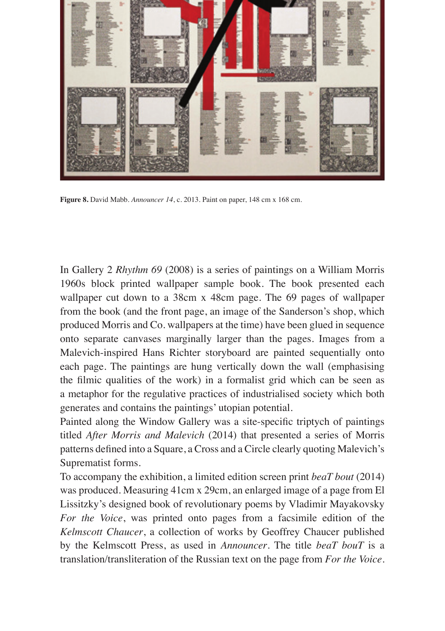

**Figure 8.** David Mabb. *Announcer 14*, c. 2013. Paint on paper, 148 cm x 168 cm.

In Gallery 2 *Rhythm 69* (2008) is a series of paintings on a William Morris 1960s block printed wallpaper sample book. The book presented each wallpaper cut down to a 38cm x 48cm page. The 69 pages of wallpaper from the book (and the front page, an image of the Sanderson's shop, which produced Morris and Co. wallpapers at the time) have been glued in sequence onto separate canvases marginally larger than the pages. Images from a Malevich-inspired Hans Richter storyboard are painted sequentially onto each page. The paintings are hung vertically down the wall (emphasising the filmic qualities of the work) in a formalist grid which can be seen as a metaphor for the regulative practices of industrialised society which both generates and contains the paintings' utopian potential.

Painted along the Window Gallery was a site-specific triptych of paintings titled *After Morris and Malevich* (2014) that presented a series of Morris patterns defined into a Square, a Cross and a Circle clearly quoting Malevich's Suprematist forms.

To accompany the exhibition, a limited edition screen print *beaT bout* (2014) was produced. Measuring 41cm x 29cm, an enlarged image of a page from El Lissitzky's designed book of revolutionary poems by Vladimir Mayakovsky *For the Voice*, was printed onto pages from a facsimile edition of the *Kelmscott Chaucer*, a collection of works by Geoffrey Chaucer published by the Kelmscott Press, as used in *Announcer*. The title *beaT bouT* is a translation/transliteration of the Russian text on the page from *For the Voice.*